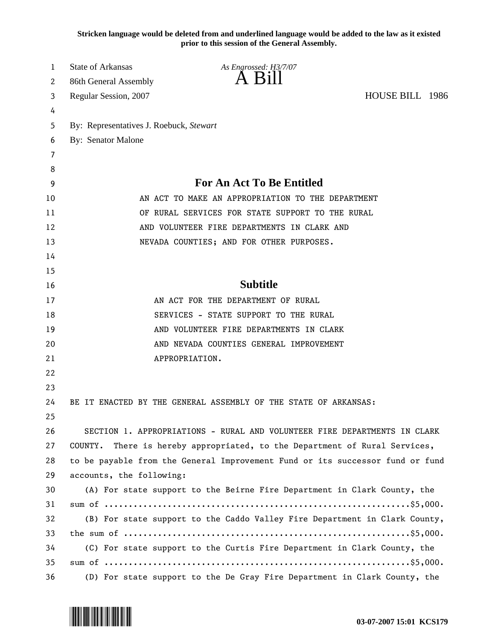**Stricken language would be deleted from and underlined language would be added to the law as it existed prior to this session of the General Assembly.**

| 1  | <b>State of Arkansas</b>                | As Engrossed: H3/7/07                                                         |                 |  |
|----|-----------------------------------------|-------------------------------------------------------------------------------|-----------------|--|
| 2  | 86th General Assembly                   | $\overline{A}$ $\overline{B}1$                                                |                 |  |
| 3  | Regular Session, 2007                   |                                                                               | HOUSE BILL 1986 |  |
| 4  |                                         |                                                                               |                 |  |
| 5  | By: Representatives J. Roebuck, Stewart |                                                                               |                 |  |
| 6  | By: Senator Malone                      |                                                                               |                 |  |
| 7  |                                         |                                                                               |                 |  |
| 8  |                                         |                                                                               |                 |  |
| 9  |                                         | <b>For An Act To Be Entitled</b>                                              |                 |  |
| 10 |                                         | AN ACT TO MAKE AN APPROPRIATION TO THE DEPARTMENT                             |                 |  |
| 11 |                                         | OF RURAL SERVICES FOR STATE SUPPORT TO THE RURAL                              |                 |  |
| 12 |                                         | AND VOLUNTEER FIRE DEPARTMENTS IN CLARK AND                                   |                 |  |
| 13 |                                         | NEVADA COUNTIES; AND FOR OTHER PURPOSES.                                      |                 |  |
| 14 |                                         |                                                                               |                 |  |
| 15 |                                         |                                                                               |                 |  |
| 16 |                                         | <b>Subtitle</b>                                                               |                 |  |
| 17 |                                         | AN ACT FOR THE DEPARTMENT OF RURAL                                            |                 |  |
| 18 |                                         | SERVICES - STATE SUPPORT TO THE RURAL                                         |                 |  |
| 19 |                                         | AND VOLUNTEER FIRE DEPARTMENTS IN CLARK                                       |                 |  |
| 20 |                                         | AND NEVADA COUNTIES GENERAL IMPROVEMENT                                       |                 |  |
| 21 |                                         | APPROPRIATION.                                                                |                 |  |
| 22 |                                         |                                                                               |                 |  |
| 23 |                                         |                                                                               |                 |  |
| 24 |                                         | BE IT ENACTED BY THE GENERAL ASSEMBLY OF THE STATE OF ARKANSAS:               |                 |  |
| 25 |                                         |                                                                               |                 |  |
| 26 |                                         | SECTION 1. APPROPRIATIONS - RURAL AND VOLUNTEER FIRE DEPARTMENTS IN CLARK     |                 |  |
| 27 | COUNTY.                                 | There is hereby appropriated, to the Department of Rural Services,            |                 |  |
| 28 |                                         | to be payable from the General Improvement Fund or its successor fund or fund |                 |  |
| 29 | accounts, the following:                |                                                                               |                 |  |
| 30 |                                         | (A) For state support to the Beirne Fire Department in Clark County, the      |                 |  |
| 31 |                                         |                                                                               |                 |  |
| 32 |                                         | (B) For state support to the Caddo Valley Fire Department in Clark County,    |                 |  |
| 33 |                                         |                                                                               |                 |  |
| 34 |                                         | (C) For state support to the Curtis Fire Department in Clark County, the      |                 |  |
| 35 |                                         |                                                                               |                 |  |
| 36 |                                         | (D) For state support to the De Gray Fire Department in Clark County, the     |                 |  |

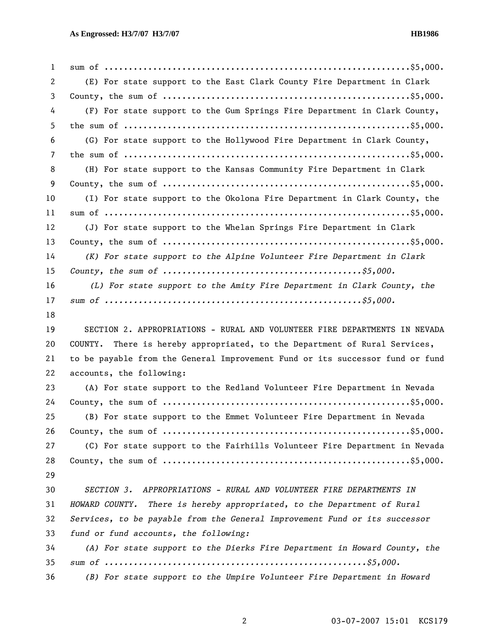| $\mathbf{1}$ |                                                                               |
|--------------|-------------------------------------------------------------------------------|
| 2            | (E) For state support to the East Clark County Fire Department in Clark       |
| 3            |                                                                               |
| 4            | (F) For state support to the Gum Springs Fire Department in Clark County,     |
| 5            |                                                                               |
| 6            | (G) For state support to the Hollywood Fire Department in Clark County,       |
| 7            |                                                                               |
| 8            | (H) For state support to the Kansas Community Fire Department in Clark        |
| 9            |                                                                               |
| 10           | (I) For state support to the Okolona Fire Department in Clark County, the     |
| 11           |                                                                               |
| 12           | (J) For state support to the Whelan Springs Fire Department in Clark          |
| 13           |                                                                               |
| 14           | (K) For state support to the Alpine Volunteer Fire Department in Clark        |
| 15           |                                                                               |
| 16           | (L) For state support to the Amity Fire Department in Clark County, the       |
| 17           |                                                                               |
| 18           |                                                                               |
| 19           | SECTION 2. APPROPRIATIONS - RURAL AND VOLUNTEER FIRE DEPARTMENTS IN NEVADA    |
| 20           | COUNTY. There is hereby appropriated, to the Department of Rural Services,    |
| 21           | to be payable from the General Improvement Fund or its successor fund or fund |
| 22           | accounts, the following:                                                      |
| 23           | (A) For state support to the Redland Volunteer Fire Department in Nevada      |
| 24           |                                                                               |
| 25           | (B) For state support to the Emmet Volunteer Fire Department in Nevada        |
| 26           |                                                                               |
| 27           | (C) For state support to the Fairhills Volunteer Fire Department in Nevada    |
| 28           |                                                                               |
| 29           |                                                                               |
| 30           | APPROPRIATIONS - RURAL AND VOLUNTEER FIRE DEPARTMENTS IN<br><i>SECTION 3.</i> |
| 31           | HOWARD COUNTY. There is hereby appropriated, to the Department of Rural       |
| 32           | Services, to be payable from the General Improvement Fund or its successor    |
| 33           | fund or fund accounts, the following:                                         |
|              |                                                                               |
| 34           | (A) For state support to the Dierks Fire Department in Howard County, the     |
| 35           |                                                                               |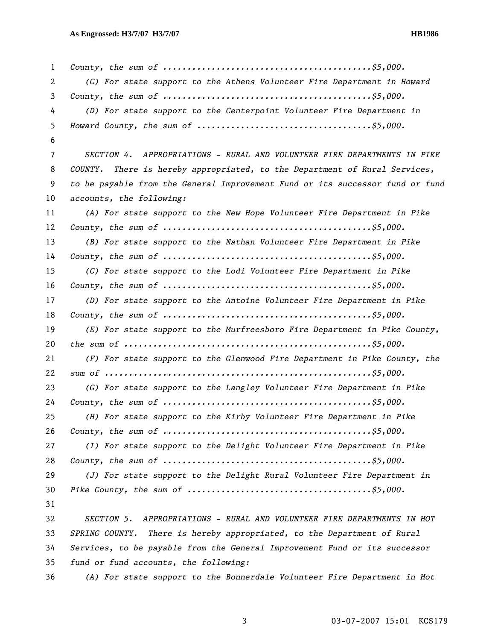| 1              |                                                                               |
|----------------|-------------------------------------------------------------------------------|
| 2              | (C) For state support to the Athens Volunteer Fire Department in Howard       |
| 3              |                                                                               |
| 4              | (D) For state support to the Centerpoint Volunteer Fire Department in         |
| 5              |                                                                               |
| 6              |                                                                               |
| $\overline{7}$ | SECTION 4. APPROPRIATIONS - RURAL AND VOLUNTEER FIRE DEPARTMENTS IN PIKE      |
| 8              | COUNTY. There is hereby appropriated, to the Department of Rural Services,    |
| 9              | to be payable from the General Improvement Fund or its successor fund or fund |
| 10             | accounts, the following:                                                      |
| 11             | (A) For state support to the New Hope Volunteer Fire Department in Pike       |
| 12             |                                                                               |
| 13             | (B) For state support to the Nathan Volunteer Fire Department in Pike         |
| 14             |                                                                               |
| 15             | (C) For state support to the Lodi Volunteer Fire Department in Pike           |
| 16             |                                                                               |
| 17             | (D) For state support to the Antoine Volunteer Fire Department in Pike        |
| 18             |                                                                               |
| 19             | (E) For state support to the Murfreesboro Fire Department in Pike County,     |
| 20             |                                                                               |
| 21             | (F) For state support to the Glenwood Fire Department in Pike County, the     |
| 22             |                                                                               |
| 23             | (G) For state support to the Langley Volunteer Fire Department in Pike        |
| 24             |                                                                               |
| 25             | (H) For state support to the Kirby Volunteer Fire Department in Pike          |
| 26             |                                                                               |
| 27             | (I) For state support to the Delight Volunteer Fire Department in Pike        |
| 28             |                                                                               |
| 29             | (J) For state support to the Delight Rural Volunteer Fire Department in       |
| 30             |                                                                               |
| 31             |                                                                               |
| 32             | SECTION 5.<br>APPROPRIATIONS - RURAL AND VOLUNTEER FIRE DEPARTMENTS IN HOT    |
| 33             | SPRING COUNTY. There is hereby appropriated, to the Department of Rural       |
| 34             | Services, to be payable from the General Improvement Fund or its successor    |
| 35             | fund or fund accounts, the following:                                         |
| 36             | (A) For state support to the Bonnerdale Volunteer Fire Department in Hot      |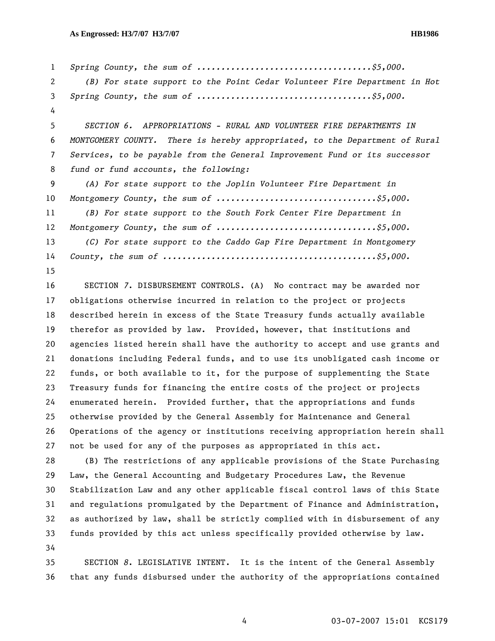*Spring County, the sum of ....................................\$5,000. (B) For state support to the Point Cedar Volunteer Fire Department in Hot Spring County, the sum of ....................................\$5,000.*  4 *SECTION 6. APPROPRIATIONS - RURAL AND VOLUNTEER FIRE DEPARTMENTS IN MONTGOMERY COUNTY. There is hereby appropriated, to the Department of Rural Services, to be payable from the General Improvement Fund or its successor fund or fund accounts, the following: (A) For state support to the Joplin Volunteer Fire Department in Montgomery County, the sum of .................................\$5,000. (B) For state support to the South Fork Center Fire Department in Montgomery County, the sum of .................................\$5,000. (C) For state support to the Caddo Gap Fire Department in Montgomery County, the sum of ............................................\$5,000.*  15 16 SECTION *7*. DISBURSEMENT CONTROLS. (A) No contract may be awarded nor

17 obligations otherwise incurred in relation to the project or projects 18 described herein in excess of the State Treasury funds actually available 19 therefor as provided by law. Provided, however, that institutions and 20 agencies listed herein shall have the authority to accept and use grants and 21 donations including Federal funds, and to use its unobligated cash income or 22 funds, or both available to it, for the purpose of supplementing the State 23 Treasury funds for financing the entire costs of the project or projects 24 enumerated herein. Provided further, that the appropriations and funds 25 otherwise provided by the General Assembly for Maintenance and General 26 Operations of the agency or institutions receiving appropriation herein shall 27 not be used for any of the purposes as appropriated in this act.

28 (B) The restrictions of any applicable provisions of the State Purchasing 29 Law, the General Accounting and Budgetary Procedures Law, the Revenue 30 Stabilization Law and any other applicable fiscal control laws of this State 31 and regulations promulgated by the Department of Finance and Administration, 32 as authorized by law, shall be strictly complied with in disbursement of any 33 funds provided by this act unless specifically provided otherwise by law. 34

35 SECTION *8*. LEGISLATIVE INTENT. It is the intent of the General Assembly 36 that any funds disbursed under the authority of the appropriations contained